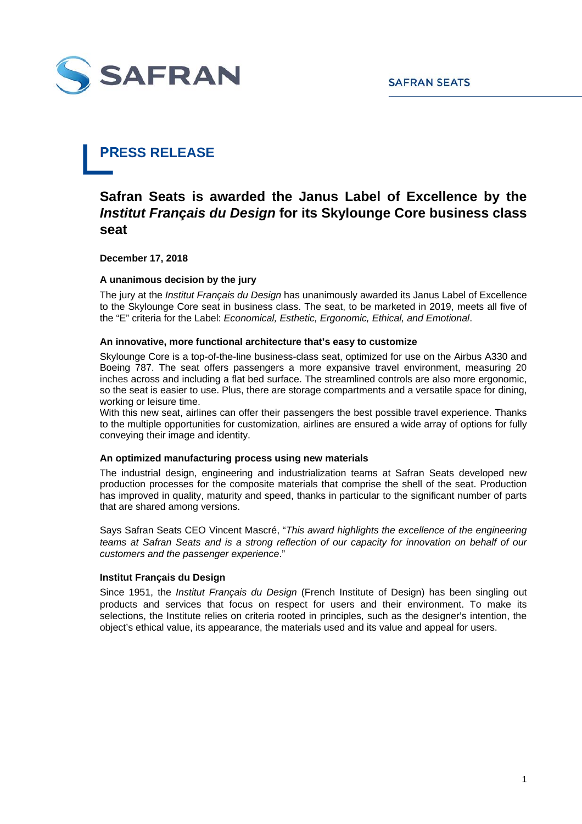

# **PRESS RELEASE**

## **Safran Seats is awarded the Janus Label of Excellence by the** *Institut Français du Design* **for its Skylounge Core business class seat**

**December 17, 2018** 

### **A unanimous decision by the jury**

The jury at the *Institut Français du Design* has unanimously awarded its Janus Label of Excellence to the Skylounge Core seat in business class. The seat, to be marketed in 2019, meets all five of the "E" criteria for the Label: *Economical, Esthetic, Ergonomic, Ethical, and Emotional*.

#### **An innovative, more functional architecture that's easy to customize**

Skylounge Core is a top-of-the-line business-class seat, optimized for use on the Airbus A330 and Boeing 787. The seat offers passengers a more expansive travel environment, measuring 20 inches across and including a flat bed surface. The streamlined controls are also more ergonomic, so the seat is easier to use. Plus, there are storage compartments and a versatile space for dining, working or leisure time.

With this new seat, airlines can offer their passengers the best possible travel experience. Thanks to the multiple opportunities for customization, airlines are ensured a wide array of options for fully conveying their image and identity.

#### **An optimized manufacturing process using new materials**

The industrial design, engineering and industrialization teams at Safran Seats developed new production processes for the composite materials that comprise the shell of the seat. Production has improved in quality, maturity and speed, thanks in particular to the significant number of parts that are shared among versions.

Says Safran Seats CEO Vincent Mascré, "*This award highlights the excellence of the engineering teams at Safran Seats and is a strong reflection of our capacity for innovation on behalf of our customers and the passenger experience*."

#### **Institut Français du Design**

Since 1951, the *Institut Français du Design* (French Institute of Design) has been singling out products and services that focus on respect for users and their environment. To make its selections, the Institute relies on criteria rooted in principles, such as the designer's intention, the object's ethical value, its appearance, the materials used and its value and appeal for users.